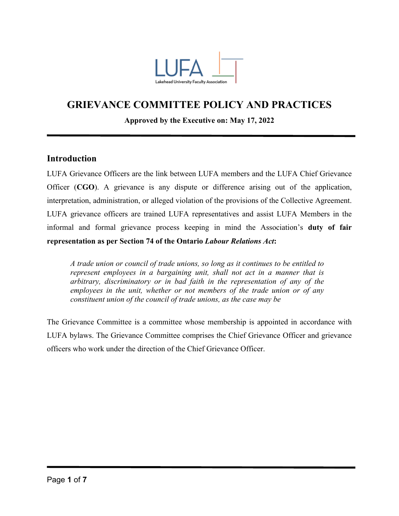

# **GRIEVANCE COMMITTEE POLICY AND PRACTICES**

### **Approved by the Executive on: May 17, 2022**

## **Introduction**

LUFA Grievance Officers are the link between LUFA members and the LUFA Chief Grievance Officer (**CGO**). A grievance is any dispute or difference arising out of the application, interpretation, administration, or alleged violation of the provisions of the Collective Agreement. LUFA grievance officers are trained LUFA representatives and assist LUFA Members in the informal and formal grievance process keeping in mind the Association's **duty of fair representation as per Section 74 of the Ontario** *Labour Relations Act***:**

*A trade union or council of trade unions, so long as it continues to be entitled to represent employees in a bargaining unit, shall not act in a manner that is arbitrary, discriminatory or in bad faith in the representation of any of the employees in the unit, whether or not members of the trade union or of any constituent union of the council of trade unions, as the case may be*

The Grievance Committee is a committee whose membership is appointed in accordance with LUFA bylaws. The Grievance Committee comprises the Chief Grievance Officer and grievance officers who work under the direction of the Chief Grievance Officer.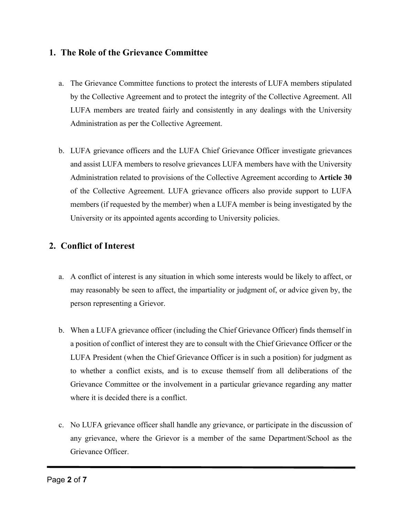# **1. The Role of the Grievance Committee**

- a. The Grievance Committee functions to protect the interests of LUFA members stipulated by the Collective Agreement and to protect the integrity of the Collective Agreement. All LUFA members are treated fairly and consistently in any dealings with the University Administration as per the Collective Agreement.
- b. LUFA grievance officers and the LUFA Chief Grievance Officer investigate grievances and assist LUFA members to resolve grievances LUFA members have with the University Administration related to provisions of the Collective Agreement according to **Article 30** of the Collective Agreement. LUFA grievance officers also provide support to LUFA members (if requested by the member) when a LUFA member is being investigated by the University or its appointed agents according to University policies.

# **2. Conflict of Interest**

- a. A conflict of interest is any situation in which some interests would be likely to affect, or may reasonably be seen to affect, the impartiality or judgment of, or advice given by, the person representing a Grievor.
- b. When a LUFA grievance officer (including the Chief Grievance Officer) finds themself in a position of conflict of interest they are to consult with the Chief Grievance Officer or the LUFA President (when the Chief Grievance Officer is in such a position) for judgment as to whether a conflict exists, and is to excuse themself from all deliberations of the Grievance Committee or the involvement in a particular grievance regarding any matter where it is decided there is a conflict.
- c. No LUFA grievance officer shall handle any grievance, or participate in the discussion of any grievance, where the Grievor is a member of the same Department/School as the Grievance Officer.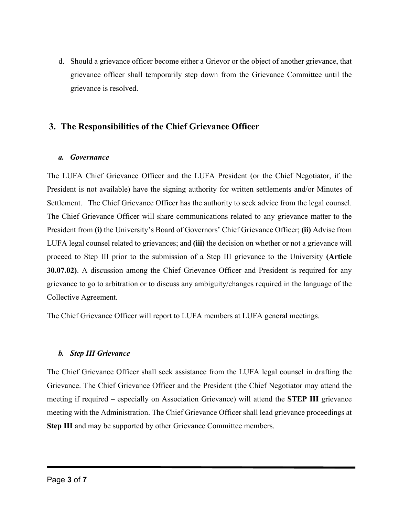d. Should a grievance officer become either a Grievor or the object of another grievance, that grievance officer shall temporarily step down from the Grievance Committee until the grievance is resolved.

# **3. The Responsibilities of the Chief Grievance Officer**

### *a. Governance*

The LUFA Chief Grievance Officer and the LUFA President (or the Chief Negotiator, if the President is not available) have the signing authority for written settlements and/or Minutes of Settlement. The Chief Grievance Officer has the authority to seek advice from the legal counsel. The Chief Grievance Officer will share communications related to any grievance matter to the President from **(i)** the University's Board of Governors' Chief Grievance Officer; **(ii)** Advise from LUFA legal counsel related to grievances; and **(iii)** the decision on whether or not a grievance will proceed to Step III prior to the submission of a Step III grievance to the University **(Article 30.07.02)**. A discussion among the Chief Grievance Officer and President is required for any grievance to go to arbitration or to discuss any ambiguity/changes required in the language of the Collective Agreement.

The Chief Grievance Officer will report to LUFA members at LUFA general meetings.

## *b. Step III Grievance*

The Chief Grievance Officer shall seek assistance from the LUFA legal counsel in drafting the Grievance. The Chief Grievance Officer and the President (the Chief Negotiator may attend the meeting if required – especially on Association Grievance) will attend the **STEP III** grievance meeting with the Administration. The Chief Grievance Officer shall lead grievance proceedings at **Step III** and may be supported by other Grievance Committee members.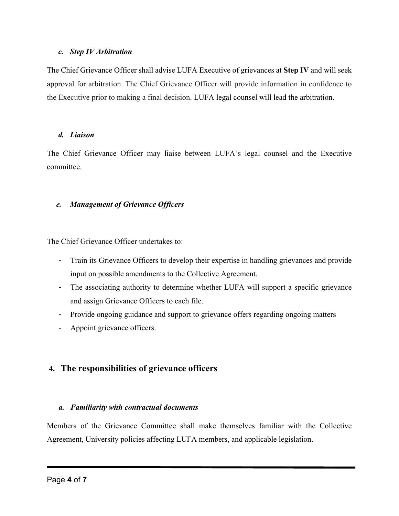### *c. Step IV Arbitration*

The Chief Grievance Officer shall advise LUFA Executive of grievances at **Step IV** and will seek approval for arbitration. The Chief Grievance Officer will provide information in confidence to the Executive prior to making a final decision. LUFA legal counsel will lead the arbitration.

### *d. Liaison*

The Chief Grievance Officer may liaise between LUFA's legal counsel and the Executive committee.

## *e. Management of Grievance Officers*

The Chief Grievance Officer undertakes to:

- Train its Grievance Officers to develop their expertise in handling grievances and provide input on possible amendments to the Collective Agreement.
- The associating authority to determine whether LUFA will support a specific grievance and assign Grievance Officers to each file.
- Provide ongoing guidance and support to grievance offers regarding ongoing matters
- Appoint grievance officers.

# **4. The responsibilities of grievance officers**

# *a. Familiarity with contractual documents*

Members of the Grievance Committee shall make themselves familiar with the Collective Agreement, University policies affecting LUFA members, and applicable legislation.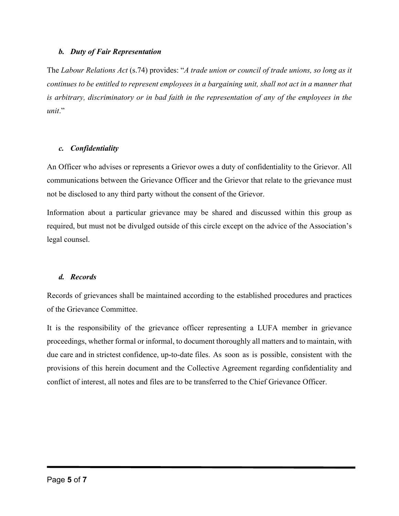#### *b. Duty of Fair Representation*

The *Labour Relations Act* (s.74) provides: "*A trade union or council of trade unions, so long as it continues to be entitled to represent employees in a bargaining unit, shall not act in a manner that is arbitrary, discriminatory or in bad faith in the representation of any of the employees in the unit*."

#### *c. Confidentiality*

An Officer who advises or represents a Grievor owes a duty of confidentiality to the Grievor. All communications between the Grievance Officer and the Grievor that relate to the grievance must not be disclosed to any third party without the consent of the Grievor.

Information about a particular grievance may be shared and discussed within this group as required, but must not be divulged outside of this circle except on the advice of the Association's legal counsel.

### *d. Records*

Records of grievances shall be maintained according to the established procedures and practices of the Grievance Committee.

It is the responsibility of the grievance officer representing a LUFA member in grievance proceedings, whether formal or informal, to document thoroughly all matters and to maintain, with due care and in strictest confidence, up-to-date files. As soon as is possible, consistent with the provisions of this herein document and the Collective Agreement regarding confidentiality and conflict of interest, all notes and files are to be transferred to the Chief Grievance Officer.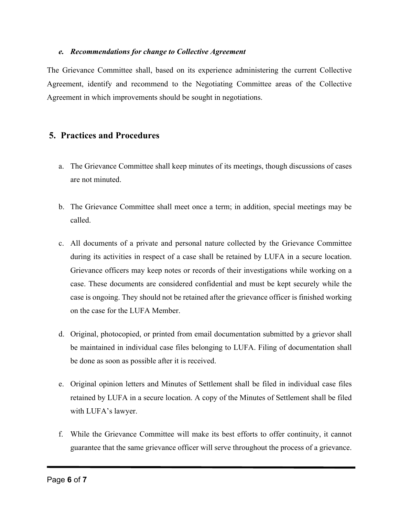#### *e. Recommendations for change to Collective Agreement*

The Grievance Committee shall, based on its experience administering the current Collective Agreement, identify and recommend to the Negotiating Committee areas of the Collective Agreement in which improvements should be sought in negotiations.

# **5. Practices and Procedures**

- a. The Grievance Committee shall keep minutes of its meetings, though discussions of cases are not minuted.
- b. The Grievance Committee shall meet once a term; in addition, special meetings may be called.
- c. All documents of a private and personal nature collected by the Grievance Committee during its activities in respect of a case shall be retained by LUFA in a secure location. Grievance officers may keep notes or records of their investigations while working on a case. These documents are considered confidential and must be kept securely while the case is ongoing. They should not be retained after the grievance officer is finished working on the case for the LUFA Member.
- d. Original, photocopied, or printed from email documentation submitted by a grievor shall be maintained in individual case files belonging to LUFA. Filing of documentation shall be done as soon as possible after it is received.
- e. Original opinion letters and Minutes of Settlement shall be filed in individual case files retained by LUFA in a secure location. A copy of the Minutes of Settlement shall be filed with LUFA's lawyer.
- f. While the Grievance Committee will make its best efforts to offer continuity, it cannot guarantee that the same grievance officer will serve throughout the process of a grievance.